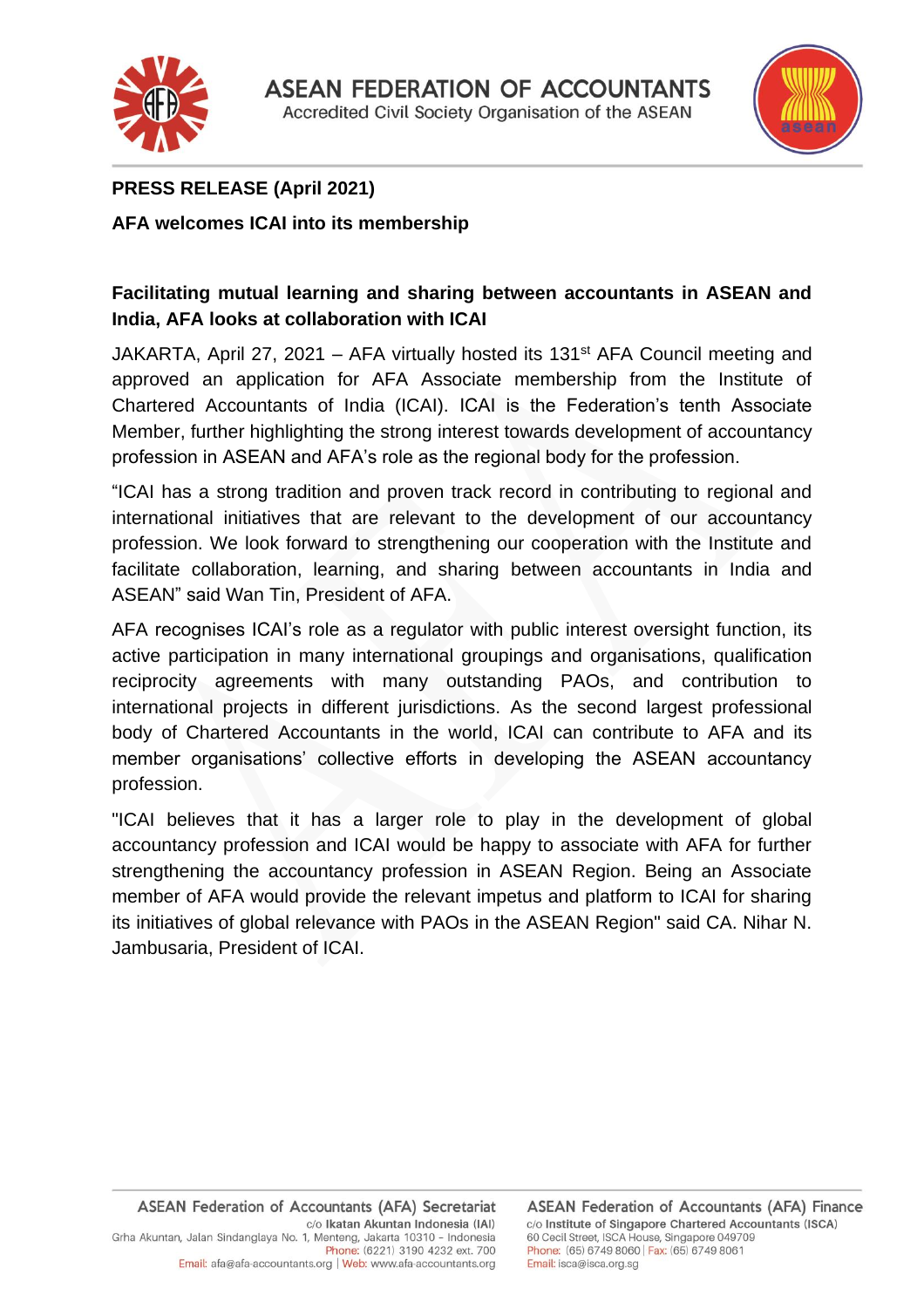



# **PRESS RELEASE (April 2021)**

# **AFA welcomes ICAI into its membership**

# **Facilitating mutual learning and sharing between accountants in ASEAN and India, AFA looks at collaboration with ICAI**

JAKARTA, April 27, 2021 – AFA virtually hosted its 131<sup>st</sup> AFA Council meeting and approved an application for AFA Associate membership from the Institute of Chartered Accountants of India (ICAI). ICAI is the Federation's tenth Associate Member, further highlighting the strong interest towards development of accountancy profession in ASEAN and AFA's role as the regional body for the profession.

"ICAI has a strong tradition and proven track record in contributing to regional and international initiatives that are relevant to the development of our accountancy profession. We look forward to strengthening our cooperation with the Institute and facilitate collaboration, learning, and sharing between accountants in India and ASEAN" said Wan Tin, President of AFA.

AFA recognises ICAI's role as a regulator with public interest oversight function, its active participation in many international groupings and organisations, qualification reciprocity agreements with many outstanding PAOs, and contribution to international projects in different jurisdictions. As the second largest professional body of Chartered Accountants in the world, ICAI can contribute to AFA and its member organisations' collective efforts in developing the ASEAN accountancy profession.

"ICAI believes that it has a larger role to play in the development of global accountancy profession and ICAI would be happy to associate with AFA for further strengthening the accountancy profession in ASEAN Region. Being an Associate member of AFA would provide the relevant impetus and platform to ICAI for sharing its initiatives of global relevance with PAOs in the ASEAN Region" said CA. Nihar N. Jambusaria, President of ICAI.